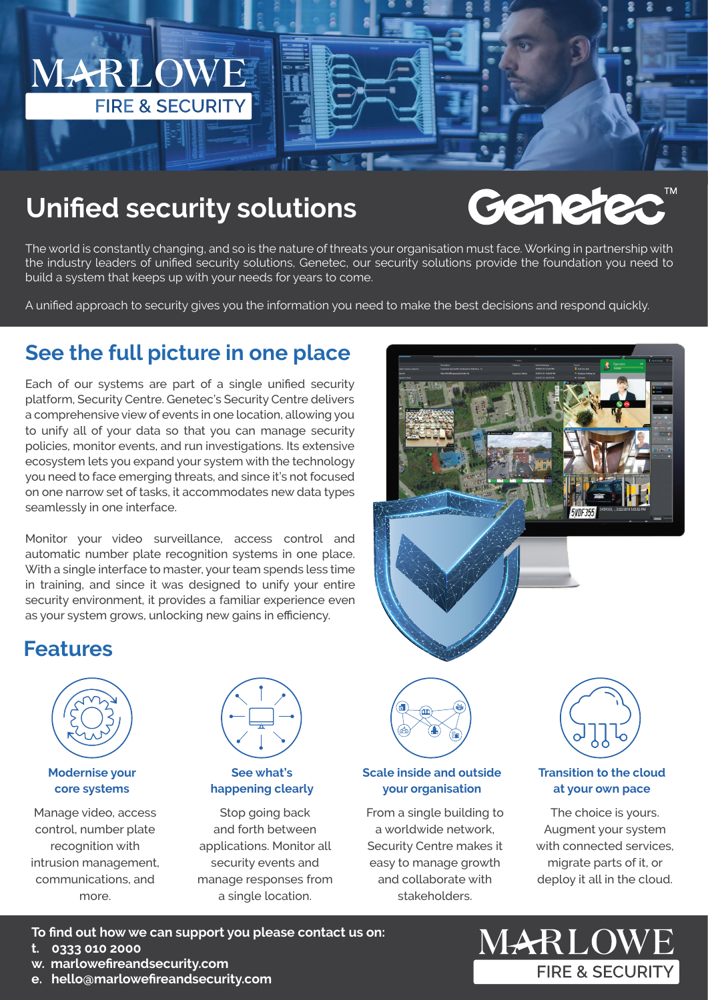

# **Unified security solutions**

# Gene

The world is constantly changing, and so is the nature of threats your organisation must face. Working in partnership with the industry leaders of unified security solutions, Genetec, our security solutions provide the foundation you need to build a system that keeps up with your needs for years to come.

A unified approach to security gives you the information you need to make the best decisions and respond quickly.

# **See the full picture in one place**

Each of our systems are part of a single unified security platform, Security Centre. Genetec's Security Centre delivers a comprehensive view of events in one location, allowing you to unify all of your data so that you can manage security policies, monitor events, and run investigations. Its extensive ecosystem lets you expand your system with the technology you need to face emerging threats, and since it's not focused on one narrow set of tasks, it accommodates new data types seamlessly in one interface.

Monitor your video surveillance, access control and automatic number plate recognition systems in one place. With a single interface to master, your team spends less time in training, and since it was designed to unify your entire security environment, it provides a familiar experience even as your system grows, unlocking new gains in efficiency.



# **Features**



### **Modernise your core systems**

Manage video, access control, number plate recognition with intrusion management, communications, and more.



### **See what's happening clearly**

Stop going back and forth between applications. Monitor all security events and manage responses from a single location.



### **Scale inside and outside your organisation**

From a single building to a worldwide network, Security Centre makes it easy to manage growth and collaborate with stakeholders.



### **Transition to the cloud at your own pace**

The choice is yours. Augment your system with connected services, migrate parts of it, or deploy it all in the cloud.

- **To find out how we can support you please contact us on:**
- **t. 0333 010 2000**
- **w. marlowefireandsecurity.com**
- **e. hello@marlowefireandsecurity.com**